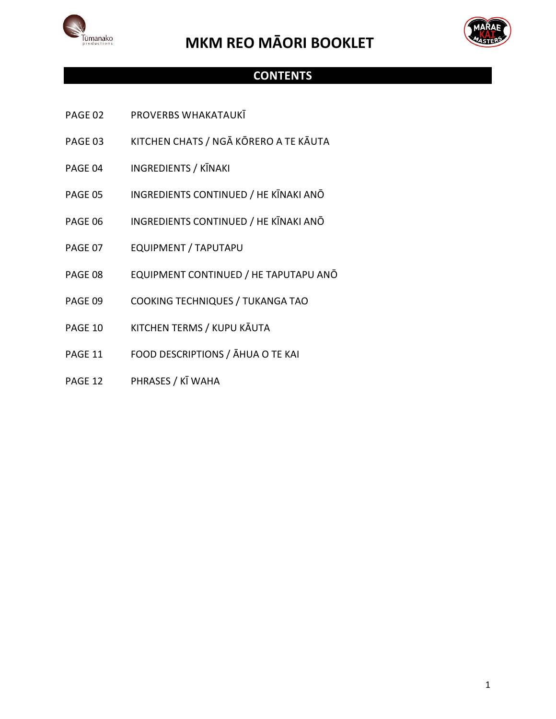



#### **CONTENTS**

- PAGE 02 PROVERBS WHAKATAUKĪ
- PAGE 03 KITCHEN CHATS / NGĀ KŌRERO A TE KĀUTA
- PAGE 04 INGREDIENTS / KĪNAKI
- PAGE 05 INGREDIENTS CONTINUED / HE KĪNAKI ANŌ
- PAGE 06 INGREDIENTS CONTINUED / HE KĪNAKI ANŌ
- PAGE 07 EQUIPMENT / TAPUTAPU
- PAGE 08 EQUIPMENT CONTINUED / HE TAPUTAPU ANŌ
- PAGE 09 COOKING TECHNIQUES / TUKANGA TAO
- PAGE 10 KITCHEN TERMS / KUPU KĀUTA
- PAGE 11 FOOD DESCRIPTIONS / ĀHUA O TE KAI
- PAGE 12 PHRASES / KĪ WAHA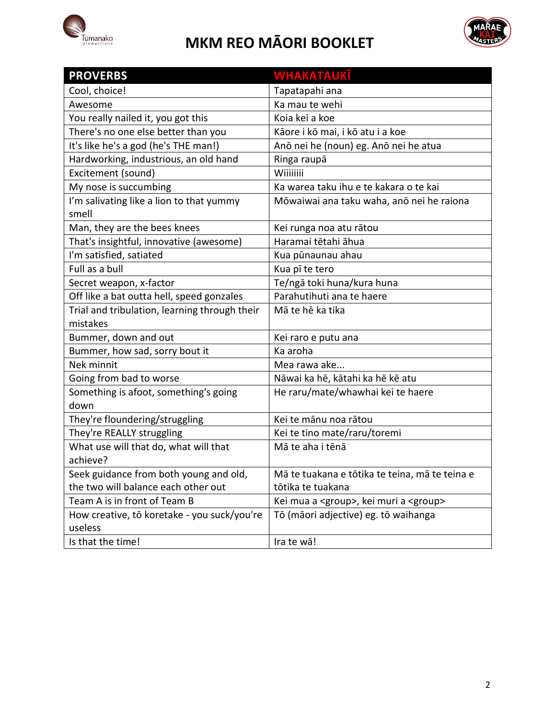



| <b>PROVERBS</b>                                           | <u>WHAKATAUKĪ</u>                                     |
|-----------------------------------------------------------|-------------------------------------------------------|
| Cool, choice!                                             | Tapatapahi ana                                        |
| Awesome                                                   | Ka mau te wehi                                        |
| You really nailed it, you got this                        | Koia kei a koe                                        |
| There's no one else better than you                       | Kāore i kō mai, i kō atu i a koe                      |
| It's like he's a god (he's THE man!)                      | Anō nei he (noun) eg. Anō nei he atua                 |
| Hardworking, industrious, an old hand                     | Ringa raupā                                           |
| Excitement (sound)                                        | Wiiiiiiii                                             |
| My nose is succumbing                                     | Ka warea taku ihu e te kakara o te kai                |
| I'm salivating like a lion to that yummy<br>smell         | Mōwaiwai ana taku waha, anō nei he raiona             |
| Man, they are the bees knees                              | Kei runga noa atu rātou                               |
| That's insightful, innovative (awesome)                   | Haramai tētahi āhua                                   |
| I'm satisfied, satiated                                   | Kua pūnaunau ahau                                     |
| Full as a bull                                            | Kua pī te tero                                        |
| Secret weapon, x-factor                                   | Te/ngā toki huna/kura huna                            |
| Off like a bat outta hell, speed gonzales                 | Parahutihuti ana te haere                             |
| Trial and tribulation, learning through their<br>mistakes | Mā te hē ka tika                                      |
| Bummer, down and out                                      | Kei raro e putu ana                                   |
| Bummer, how sad, sorry bout it                            | Ka aroha                                              |
| Nek minnit                                                | Mea rawa ake                                          |
| Going from bad to worse                                   | Nāwai ka hē, kātahi ka hē kē atu                      |
| Something is afoot, something's going<br>down             | He raru/mate/whawhai kei te haere                     |
| They're floundering/struggling                            | Kei te mānu noa rātou                                 |
| They're REALLY struggling                                 | Kei te tino mate/raru/toremi                          |
| What use will that do, what will that                     | Mā te aha i tēnā                                      |
| achieve?                                                  |                                                       |
| Seek guidance from both young and old,                    | Mā te tuakana e tōtika te teina, mā te teina e        |
| the two will balance each other out                       | tōtika te tuakana                                     |
| Team A is in front of Team B                              | Kei mua a <group>, kei muri a <group></group></group> |
| How creative, tō koretake - you suck/you're               | Tō (māori adjective) eg. tō waihanga                  |
| useless                                                   |                                                       |
| Is that the time!                                         | Ira te wā!                                            |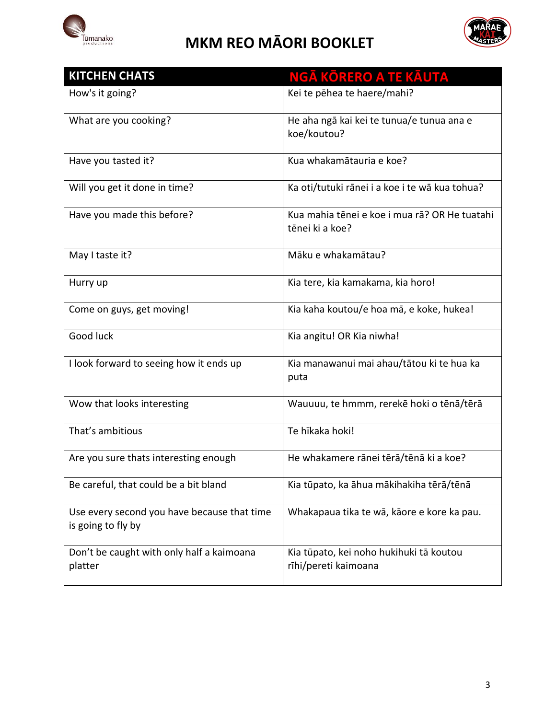



| <b>KITCHEN CHATS</b>                                              | NGĀ KŌRERO A TE KĀUTA                                            |
|-------------------------------------------------------------------|------------------------------------------------------------------|
| How's it going?                                                   | Kei te pēhea te haere/mahi?                                      |
| What are you cooking?                                             | He aha ngā kai kei te tunua/e tunua ana e<br>koe/koutou?         |
| Have you tasted it?                                               | Kua whakamātauria e koe?                                         |
| Will you get it done in time?                                     | Ka oti/tutuki rānei i a koe i te wā kua tohua?                   |
| Have you made this before?                                        | Kua mahia tēnei e koe i mua rā? OR He tuatahi<br>tēnei ki a koe? |
| May I taste it?                                                   | Māku e whakamātau?                                               |
| Hurry up                                                          | Kia tere, kia kamakama, kia horo!                                |
| Come on guys, get moving!                                         | Kia kaha koutou/e hoa mā, e koke, hukea!                         |
| Good luck                                                         | Kia angitu! OR Kia niwha!                                        |
| I look forward to seeing how it ends up                           | Kia manawanui mai ahau/tātou ki te hua ka<br>puta                |
| Wow that looks interesting                                        | Wauuuu, te hmmm, rerekē hoki o tēnā/tērā                         |
| That's ambitious                                                  | Te hīkaka hoki!                                                  |
| Are you sure thats interesting enough                             | He whakamere rānei tērā/tēnā ki a koe?                           |
| Be careful, that could be a bit bland                             | Kia tūpato, ka āhua mākihakiha tērā/tēnā                         |
| Use every second you have because that time<br>is going to fly by | Whakapaua tika te wā, kāore e kore ka pau.                       |
| Don't be caught with only half a kaimoana<br>platter              | Kia tūpato, kei noho hukihuki tā koutou<br>rīhi/pereti kaimoana  |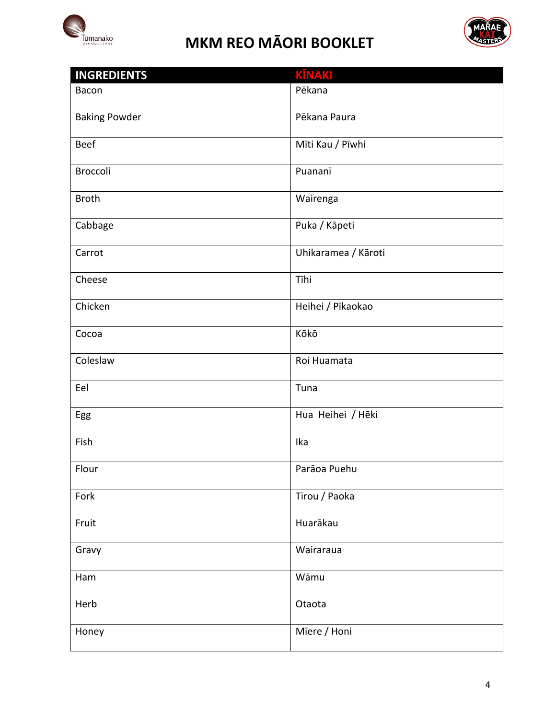



| <b>INGREDIENTS</b>   | <b>KĪNAKI</b>       |
|----------------------|---------------------|
| Bacon                | Pēkana              |
|                      |                     |
| <b>Baking Powder</b> | Pēkana Paura        |
| <b>Beef</b>          | Mīti Kau / Pīwhi    |
|                      |                     |
| <b>Broccoli</b>      | Puananī             |
|                      |                     |
| <b>Broth</b>         | Wairenga            |
| Cabbage              | Puka / Kāpeti       |
|                      |                     |
| Carrot               | Uhikaramea / Kāroti |
|                      |                     |
| Cheese               | Tīhi                |
| Chicken              | Heihei / Pīkaokao   |
|                      |                     |
| Cocoa                | Kōkō                |
|                      |                     |
| Coleslaw             | Roi Huamata         |
| Eel                  | Tuna                |
|                      |                     |
| Egg                  | Hua Heihei / Hēki   |
|                      |                     |
| Fish                 | Ika                 |
| Flour                | Parāoa Puehu        |
|                      |                     |
| Fork                 | Tīrou / Paoka       |
|                      |                     |
| Fruit                | Huarākau            |
| Gravy                | Wairaraua           |
|                      |                     |
| Ham                  | Wāmu                |
|                      |                     |
| Herb                 | Otaota              |
| Honey                | Miere / Honi        |
|                      |                     |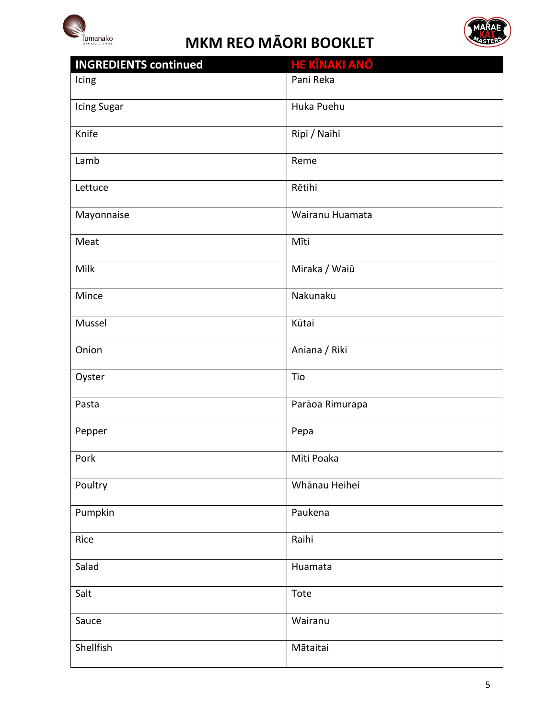



| <b>INGREDIENTS continued</b> | <b>HE KĪNAKI ANŌ</b> |
|------------------------------|----------------------|
| Icing                        | Pani Reka            |
| Icing Sugar                  | Huka Puehu           |
| Knife                        | Ripi / Naihi         |
| Lamb                         | Reme                 |
| Lettuce                      | Rētihi               |
| Mayonnaise                   | Wairanu Huamata      |
| Meat                         | Mīti                 |
| Milk                         | Miraka / Waiū        |
| Mince                        | Nakunaku             |
| Mussel                       | Kūtai                |
| Onion                        | Aniana / Riki        |
| Oyster                       | Tio                  |
| Pasta                        | Parāoa Rimurapa      |
| Pepper                       | Pepa                 |
| Pork                         | Mīti Poaka           |
| Poultry                      | Whānau Heihei        |
| Pumpkin                      | Paukena              |
| Rice                         | Raihi                |
| Salad                        | Huamata              |
| Salt                         | Tote                 |
| Sauce                        | Wairanu              |
| Shellfish                    | Mātaitai             |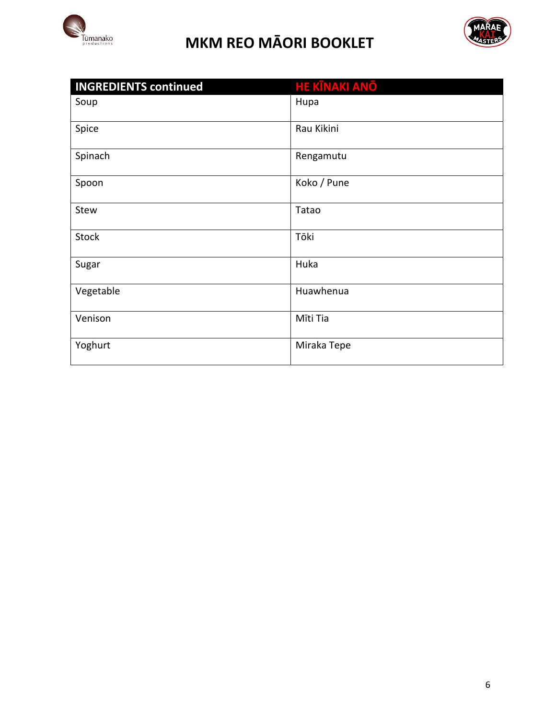



| <b>INGREDIENTS continued</b> | <b>HE KĪNAKI ANŌ</b> |
|------------------------------|----------------------|
| Soup                         | Hupa                 |
| Spice                        | Rau Kikini           |
| Spinach                      | Rengamutu            |
| Spoon                        | Koko / Pune          |
| Stew                         | Tatao                |
| <b>Stock</b>                 | Tōki                 |
| Sugar                        | Huka                 |
| Vegetable                    | Huawhenua            |
| Venison                      | Mīti Tia             |
| Yoghurt                      | Miraka Tepe          |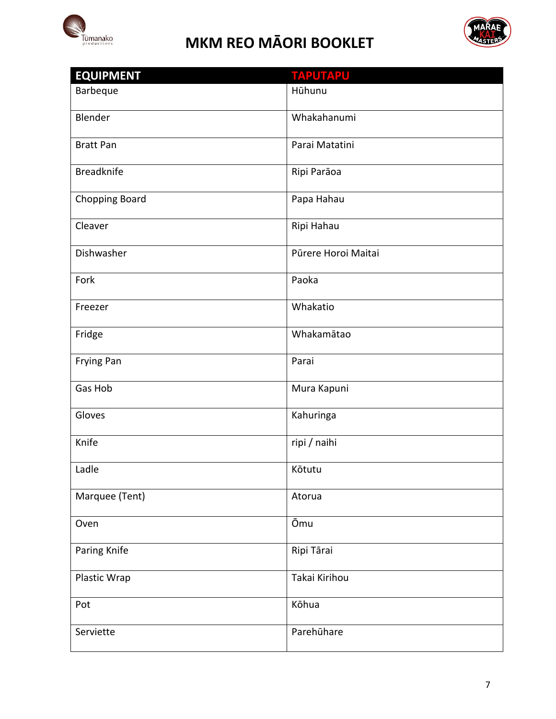



| <b>EQUIPMENT</b>      | <b>TAPUTAPU</b>     |
|-----------------------|---------------------|
| Barbeque              | Hūhunu              |
| Blender               | Whakahanumi         |
| <b>Bratt Pan</b>      | Parai Matatini      |
| <b>Breadknife</b>     | Ripi Parāoa         |
| <b>Chopping Board</b> | Papa Hahau          |
| Cleaver               | Ripi Hahau          |
| Dishwasher            | Pūrere Horoi Maitai |
| Fork                  | Paoka               |
| Freezer               | Whakatio            |
| Fridge                | Whakamātao          |
| Frying Pan            | Parai               |
| Gas Hob               | Mura Kapuni         |
| Gloves                | Kahuringa           |
| Knife                 | ripi / naihi        |
| Ladle                 | Kōtutu              |
| Marquee (Tent)        | Atorua              |
| Oven                  | Ōmu                 |
| Paring Knife          | Ripi Tārai          |
| Plastic Wrap          | Takai Kirihou       |
| Pot                   | Kōhua               |
| Serviette             | Parehūhare          |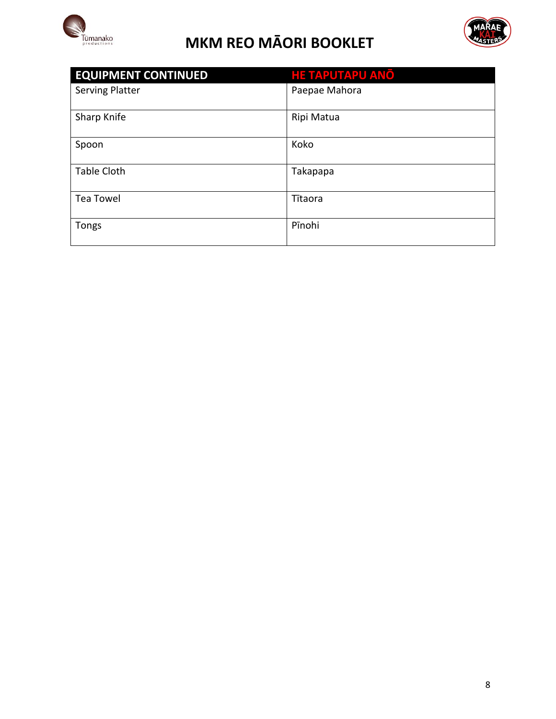



| <b>EQUIPMENT CONTINUED</b> | <b>HE TAPUTAPU ANO</b> |
|----------------------------|------------------------|
| <b>Serving Platter</b>     | Paepae Mahora          |
|                            |                        |
| Sharp Knife                | Ripi Matua             |
| Spoon                      | Koko                   |
| <b>Table Cloth</b>         | Takapapa               |
| <b>Tea Towel</b>           | Tītaora                |
| <b>Tongs</b>               | Pīnohi                 |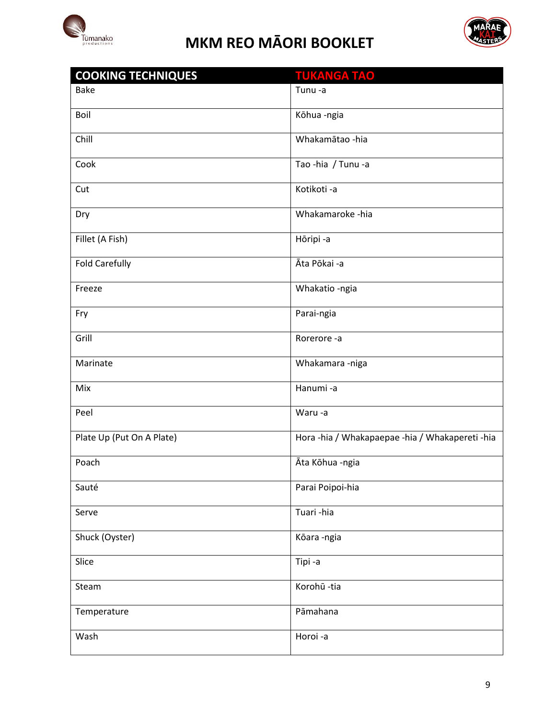



| <b>COOKING TECHNIQUES</b> | <b>TUKANGA TAO</b>                              |
|---------------------------|-------------------------------------------------|
| <b>Bake</b>               | Tunu-a                                          |
| Boil                      | Kōhua-ngia                                      |
| Chill                     | Whakamātao -hia                                 |
| Cook                      | Tao-hia / Tunu-a                                |
| Cut                       | Kotikoti-a                                      |
| Dry                       | Whakamaroke -hia                                |
| Fillet (A Fish)           | Hōripi -a                                       |
| <b>Fold Carefully</b>     | Āta Pōkai -a                                    |
| Freeze                    | Whakatio -ngia                                  |
| Fry                       | Parai-ngia                                      |
| Grill                     | Rorerore-a                                      |
| Marinate                  | Whakamara -niga                                 |
| Mix                       | Hanumi-a                                        |
| Peel                      | Waru-a                                          |
| Plate Up (Put On A Plate) | Hora -hia / Whakapaepae -hia / Whakapereti -hia |
| Poach                     | Āta Kōhua -ngia                                 |
| Sauté                     | Parai Poipoi-hia                                |
| Serve                     | Tuari-hia                                       |
| Shuck (Oyster)            | Kōara-ngia                                      |
| Slice                     | Tipi-a                                          |
| Steam                     | Korohū -tia                                     |
| Temperature               | Pāmahana                                        |
| Wash                      | Horoi-a                                         |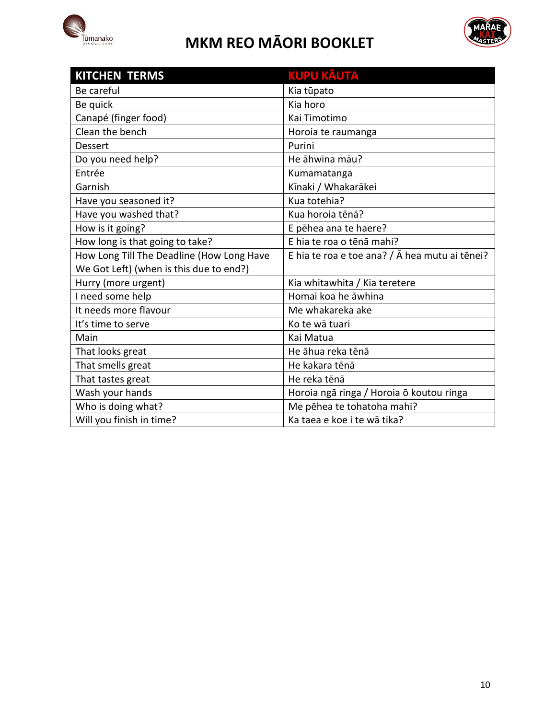



| <b>KITCHEN TERMS</b>                      | <b>KUPU KĀUTA</b>                              |
|-------------------------------------------|------------------------------------------------|
| Be careful                                | Kia tūpato                                     |
| Be quick                                  | Kia horo                                       |
| Canapé (finger food)                      | Kai Timotimo                                   |
| Clean the bench                           | Horoia te raumanga                             |
| <b>Dessert</b>                            | Purini                                         |
| Do you need help?                         | He āhwina māu?                                 |
| Entrée                                    | Kumamatanga                                    |
| Garnish                                   | Kīnaki / Whakarākei                            |
| Have you seasoned it?                     | Kua totehia?                                   |
| Have you washed that?                     | Kua horoia tēnā?                               |
| How is it going?                          | E pēhea ana te haere?                          |
| How long is that going to take?           | E hia te roa o tēnā mahi?                      |
| How Long Till The Deadline (How Long Have | E hia te roa e toe ana? / Ā hea mutu ai tēnei? |
| We Got Left) (when is this due to end?)   |                                                |
| Hurry (more urgent)                       | Kia whitawhita / Kia teretere                  |
| I need some help                          | Homai koa he āwhina                            |
| It needs more flavour                     | Me whakareka ake                               |
| It's time to serve                        | Ko te wā tuari                                 |
| Main                                      | Kai Matua                                      |
| That looks great                          | He āhua reka tēnā                              |
| That smells great                         | He kakara tēnā                                 |
| That tastes great                         | He reka tēnā                                   |
| Wash your hands                           | Horoia ngā ringa / Horoia ō koutou ringa       |
| Who is doing what?                        | Me pēhea te tohatoha mahi?                     |
| Will you finish in time?                  | Ka taea e koe i te wā tika?                    |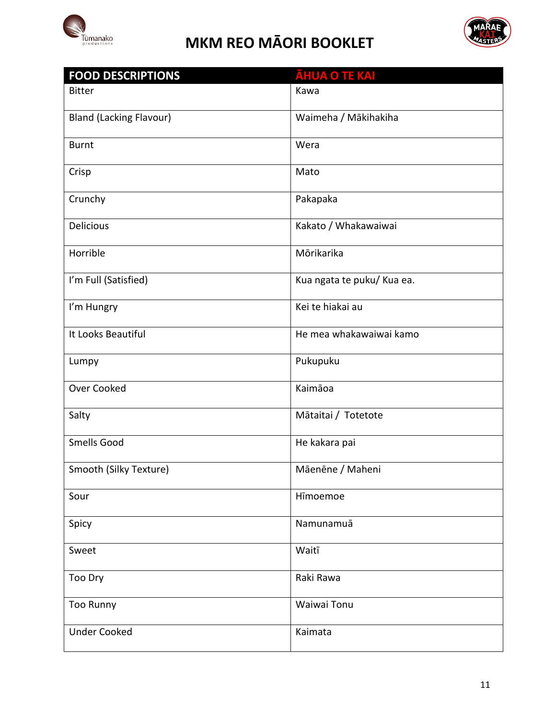



| <b>FOOD DESCRIPTIONS</b>       | <b>ĀHUA O TE KAI</b>       |
|--------------------------------|----------------------------|
| <b>Bitter</b>                  | Kawa                       |
| <b>Bland (Lacking Flavour)</b> | Waimeha / Mākihakiha       |
| <b>Burnt</b>                   | Wera                       |
| Crisp                          | Mato                       |
| Crunchy                        | Pakapaka                   |
| <b>Delicious</b>               | Kakato / Whakawaiwai       |
| Horrible                       | Mōrikarika                 |
| I'm Full (Satisfied)           | Kua ngata te puku/ Kua ea. |
| I'm Hungry                     | Kei te hiakai au           |
| It Looks Beautiful             | He mea whakawaiwai kamo    |
| Lumpy                          | Pukupuku                   |
| Over Cooked                    | Kaimāoa                    |
| Salty                          | Mātaitai / Totetote        |
| Smells Good                    | He kakara pai              |
| Smooth (Silky Texture)         | Māenēne / Maheni           |
| Sour                           | Hīmoemoe                   |
| Spicy                          | Namunamuā                  |
| Sweet                          | Waitī                      |
| Too Dry                        | Raki Rawa                  |
| <b>Too Runny</b>               | Waiwai Tonu                |
| <b>Under Cooked</b>            | Kaimata                    |